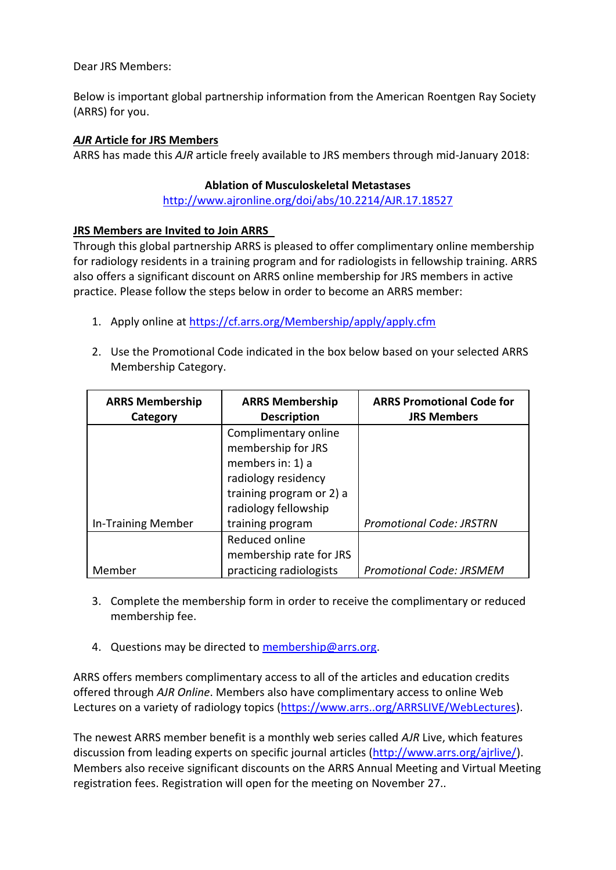Dear JRS Members:

Below is important global partnership information from the American Roentgen Ray Society (ARRS) for you.

## *AJR* **Article for JRS Members**

ARRS has made this *AJR* article freely available to JRS members through mid-January 2018:

## **Ablation of Musculoskeletal Metastases**

<http://www.ajronline.org/doi/abs/10.2214/AJR.17.18527>

## **JRS Members are Invited to Join ARRS**

Through this global partnership ARRS is pleased to offer complimentary online membership for radiology residents in a training program and for radiologists in fellowship training. ARRS also offers a significant discount on ARRS online membership for JRS members in active practice. Please follow the steps below in order to become an ARRS member:

- 1. Apply online at<https://cf.arrs.org/Membership/apply/apply.cfm>
- 2. Use the Promotional Code indicated in the box below based on your selected ARRS Membership Category.

| <b>ARRS Membership</b>    | <b>ARRS Membership</b>   | <b>ARRS Promotional Code for</b> |
|---------------------------|--------------------------|----------------------------------|
| Category                  | <b>Description</b>       | <b>JRS Members</b>               |
|                           | Complimentary online     |                                  |
|                           | membership for JRS       |                                  |
|                           | members in: 1) a         |                                  |
|                           | radiology residency      |                                  |
|                           | training program or 2) a |                                  |
|                           | radiology fellowship     |                                  |
| <b>In-Training Member</b> | training program         | <b>Promotional Code: JRSTRN</b>  |
|                           | Reduced online           |                                  |
|                           | membership rate for JRS  |                                  |
| Member                    | practicing radiologists  | <b>Promotional Code: JRSMEM</b>  |

- 3. Complete the membership form in order to receive the complimentary or reduced membership fee.
- 4. Questions may be directed to [membership@arrs.org.](mailto:membership@arrs.org)

ARRS offers members complimentary access to all of the articles and education credits offered through *AJR Online*. Members also have complimentary access to online Web Lectures on a variety of radiology topics [\(https://www.arrs..org/ARRSLIVE/WebLectures\)](https://www.arrs.org/ARRSLIVE/WebLectures).

The newest ARRS member benefit is a monthly web series called *AJR* Live, which features discussion from leading experts on specific journal articles [\(http://www.arrs.org/ajrlive/\)](http://www.arrs.org/ajrlive/). Members also receive significant discounts on the ARRS Annual Meeting and Virtual Meeting registration fees. Registration will open for the meeting on November 27..